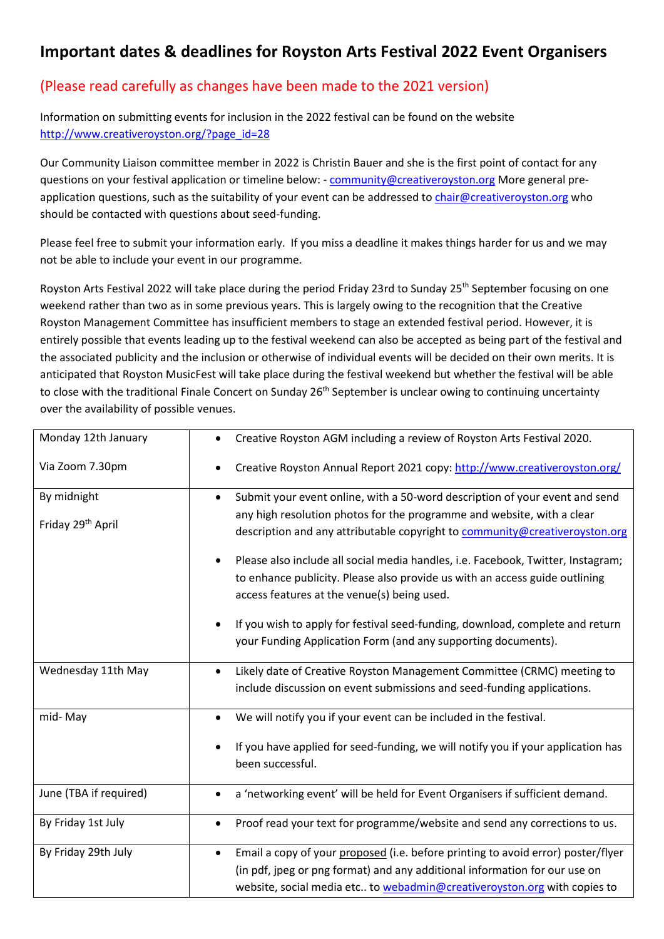## **Important dates & deadlines for Royston Arts Festival 2022 Event Organisers**

## (Please read carefully as changes have been made to the 2021 version)

Information on submitting events for inclusion in the 2022 festival can be found on the website [http://www.creativeroyston.org/?page\\_id=28](http://www.creativeroyston.org/?page_id=28)

Our Community Liaison committee member in 2022 is Christin Bauer and she is the first point of contact for any questions on your festival application or timeline below: - [community@creativeroyston.org](mailto:community@creativeroyston.org) More general preapplication questions, such as the suitability of your event can be addressed to [chair@creativeroyston.org](mailto:chair@creativeroyston.org) who should be contacted with questions about seed-funding.

Please feel free to submit your information early. If you miss a deadline it makes things harder for us and we may not be able to include your event in our programme.

Royston Arts Festival 2022 will take place during the period Friday 23rd to Sunday 25<sup>th</sup> September focusing on one weekend rather than two as in some previous years. This is largely owing to the recognition that the Creative Royston Management Committee has insufficient members to stage an extended festival period. However, it is entirely possible that events leading up to the festival weekend can also be accepted as being part of the festival and the associated publicity and the inclusion or otherwise of individual events will be decided on their own merits. It is anticipated that Royston MusicFest will take place during the festival weekend but whether the festival will be able to close with the traditional Finale Concert on Sunday 26<sup>th</sup> September is unclear owing to continuing uncertainty over the availability of possible venues.

| Monday 12th January           | Creative Royston AGM including a review of Royston Arts Festival 2020.                               |
|-------------------------------|------------------------------------------------------------------------------------------------------|
| Via Zoom 7.30pm               | Creative Royston Annual Report 2021 copy: http://www.creativeroyston.org/                            |
| By midnight                   | Submit your event online, with a 50-word description of your event and send                          |
| Friday 29 <sup>th</sup> April | any high resolution photos for the programme and website, with a clear                               |
|                               | description and any attributable copyright to community@creativeroyston.org                          |
|                               | Please also include all social media handles, i.e. Facebook, Twitter, Instagram;                     |
|                               | to enhance publicity. Please also provide us with an access guide outlining                          |
|                               | access features at the venue(s) being used.                                                          |
|                               | If you wish to apply for festival seed-funding, download, complete and return                        |
|                               | your Funding Application Form (and any supporting documents).                                        |
| Wednesday 11th May            | Likely date of Creative Royston Management Committee (CRMC) meeting to                               |
|                               | include discussion on event submissions and seed-funding applications.                               |
| mid-May                       | We will notify you if your event can be included in the festival.<br>$\bullet$                       |
|                               | If you have applied for seed-funding, we will notify you if your application has<br>been successful. |
| June (TBA if required)        | a 'networking event' will be held for Event Organisers if sufficient demand.<br>$\bullet$            |
| By Friday 1st July            | Proof read your text for programme/website and send any corrections to us.<br>$\bullet$              |
| By Friday 29th July           | Email a copy of your proposed (i.e. before printing to avoid error) poster/flyer<br>$\bullet$        |
|                               | (in pdf, jpeg or png format) and any additional information for our use on                           |
|                               | website, social media etc to webadmin@creativeroyston.org with copies to                             |